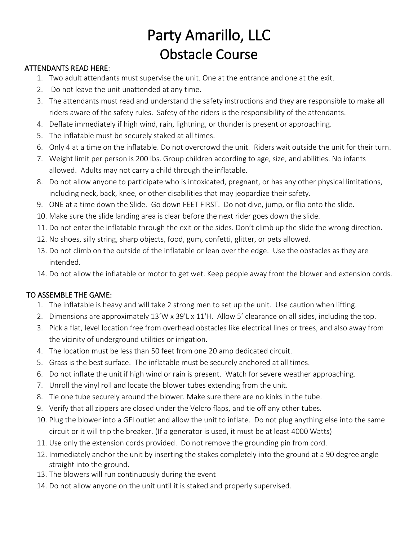## Party Amarillo, LLC Obstacle Course

## ATTENDANTS READ HERE:

- 1. Two adult attendants must supervise the unit. One at the entrance and one at the exit.
- 2. Do not leave the unit unattended at any time.
- 3. The attendants must read and understand the safety instructions and they are responsible to make all riders aware of the safety rules. Safety of the riders is the responsibility of the attendants.
- 4. Deflate immediately if high wind, rain, lightning, or thunder is present or approaching.
- 5. The inflatable must be securely staked at all times.
- 6. Only 4 at a time on the inflatable. Do not overcrowd the unit. Riders wait outside the unit for their turn.
- 7. Weight limit per person is 200 lbs. Group children according to age, size, and abilities. No infants allowed. Adults may not carry a child through the inflatable.
- 8. Do not allow anyone to participate who is intoxicated, pregnant, or has any other physical limitations, including neck, back, knee, or other disabilities that may jeopardize their safety.
- 9. ONE at a time down the Slide. Go down FEET FIRST. Do not dive, jump, or flip onto the slide.
- 10. Make sure the slide landing area is clear before the next rider goes down the slide.
- 11. Do not enter the inflatable through the exit or the sides. Don't climb up the slide the wrong direction.
- 12. No shoes, silly string, sharp objects, food, gum, confetti, glitter, or pets allowed.
- 13. Do not climb on the outside of the inflatable or lean over the edge. Use the obstacles as they are intended.
- 14. Do not allow the inflatable or motor to get wet. Keep people away from the blower and extension cords.

## TO ASSEMBLE THE GAME:

- 1. The inflatable is heavy and will take 2 strong men to set up the unit. Use caution when lifting.
- 2. Dimensions are approximately 13'W x 39'L x 11'H. Allow 5' clearance on all sides, including the top.
- 3. Pick a flat, level location free from overhead obstacles like electrical lines or trees, and also away from the vicinity of underground utilities or irrigation.
- 4. The location must be less than 50 feet from one 20 amp dedicated circuit.
- 5. Grass is the best surface. The inflatable must be securely anchored at all times.
- 6. Do not inflate the unit if high wind or rain is present. Watch for severe weather approaching.
- 7. Unroll the vinyl roll and locate the blower tubes extending from the unit.
- 8. Tie one tube securely around the blower. Make sure there are no kinks in the tube.
- 9. Verify that all zippers are closed under the Velcro flaps, and tie off any other tubes.
- 10. Plug the blower into a GFI outlet and allow the unit to inflate. Do not plug anything else into the same circuit or it will trip the breaker. (If a generator is used, it must be at least 4000 Watts)
- 11. Use only the extension cords provided. Do not remove the grounding pin from cord.
- 12. Immediately anchor the unit by inserting the stakes completely into the ground at a 90 degree angle straight into the ground.
- 13. The blowers will run continuously during the event
- 14. Do not allow anyone on the unit until it is staked and properly supervised.